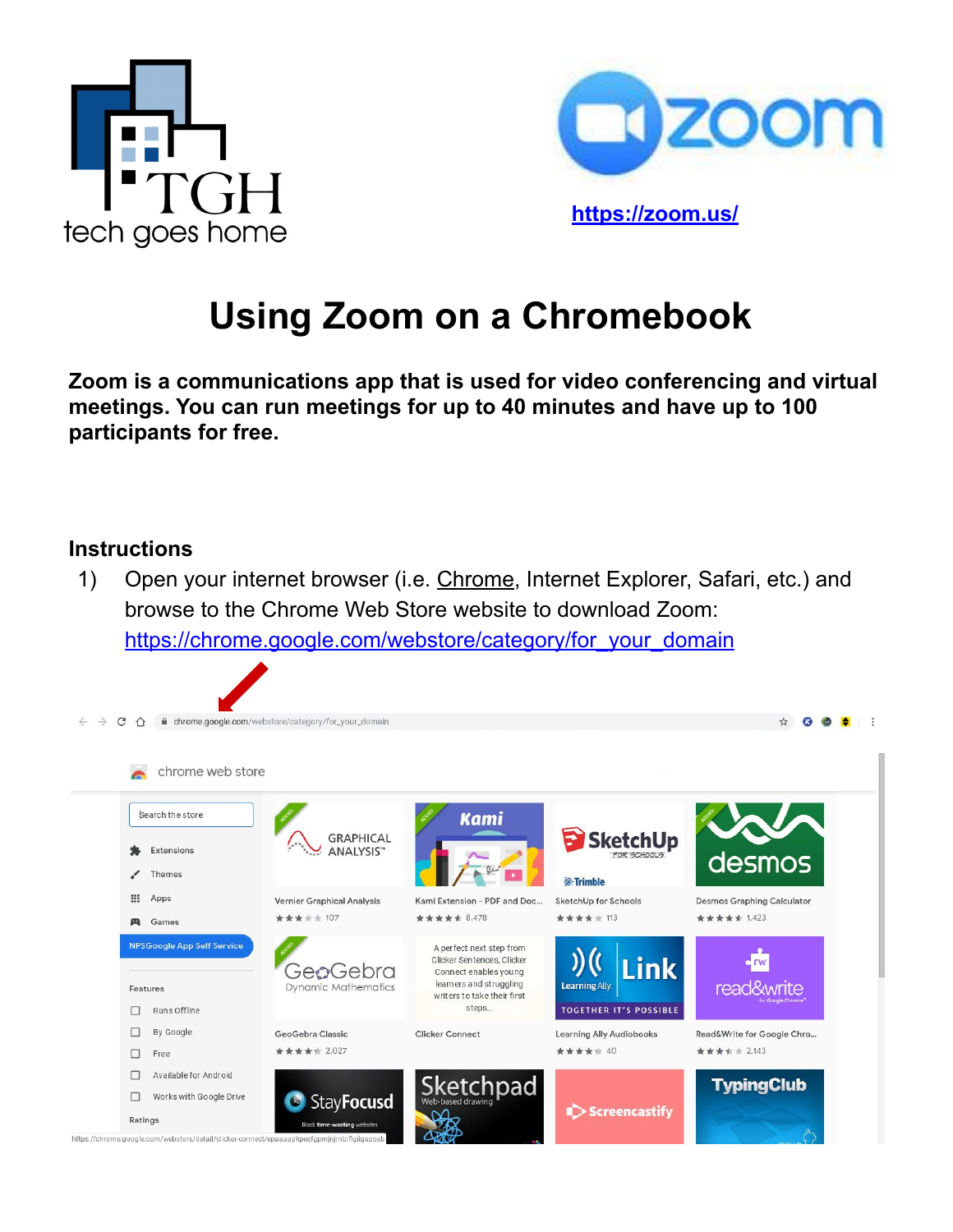



**<https://zoom.us/>**

# **Using Zoom on a Chromebook**

**Zoom is a communications app that is used for video conferencing and virtual meetings. You can run meetings for up to 40 minutes and have up to 100 participants for free.**

#### **Instructions**

1) Open your internet browser (i.e. Chrome, Internet Explorer, Safari, etc.) and browse to the Chrome Web Store website to download Zoom: [https://chrome.google.com/webstore/category/for\\_your\\_domain](https://chrome.google.com/webstore/category/for_your_domain)

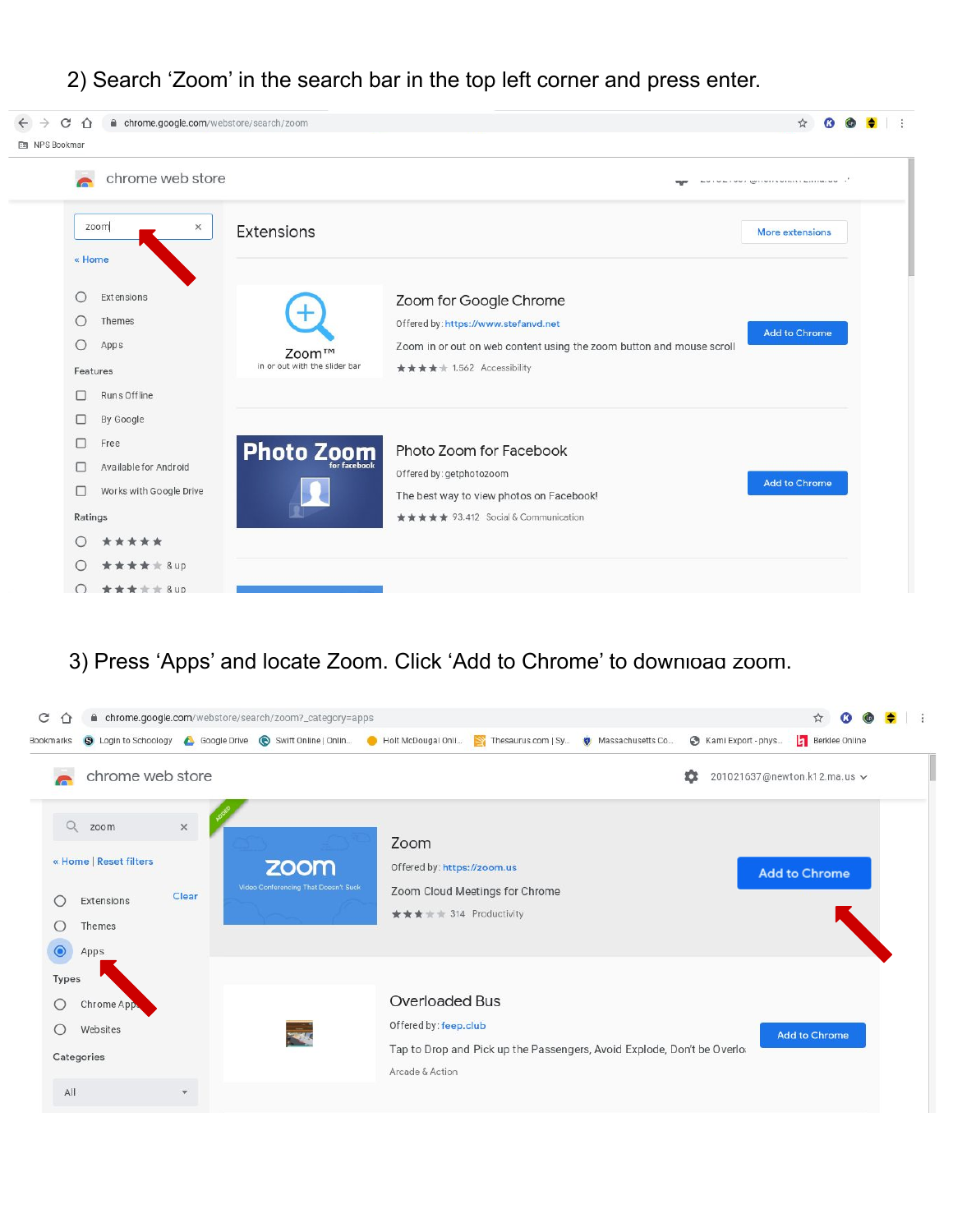

| ■ chrome.google.com/webstore/search/zoom<br>C<br>$\leftarrow$<br>$\rightarrow$<br>⇧ |                                        |                                                                                                                                                                    | ☆                                                                                                                                                                                                                                    |  |
|-------------------------------------------------------------------------------------|----------------------------------------|--------------------------------------------------------------------------------------------------------------------------------------------------------------------|--------------------------------------------------------------------------------------------------------------------------------------------------------------------------------------------------------------------------------------|--|
| <b>NPS</b> Bookman                                                                  |                                        |                                                                                                                                                                    |                                                                                                                                                                                                                                      |  |
| chrome web store                                                                    |                                        |                                                                                                                                                                    | <b>Services and Contract Construction of the Contract Contract Contract Contract Contract Contract Contract Contract Contract Contract Contract Contract Contract Contract Contract Contract Contract Contract Contract Contract</b> |  |
| zoom<br>$\times$<br>« Home                                                          | Extensions                             |                                                                                                                                                                    | More extensions                                                                                                                                                                                                                      |  |
| Extensions<br>O<br>Themes<br>О<br>Apps<br>Features                                  | Zoom™<br>in or out with the slider bar | Zoom for Google Chrome<br>Offered by: https://www.stefanvd.net<br>Zoom in or out on web content using the zoom button and mouse scroll<br>★★★★ 1,562 Accessibility | <b>Add to Chrome</b>                                                                                                                                                                                                                 |  |
| Runs Offline<br>П<br>By Google<br>U<br>Free<br>□<br>Available for Android<br>П      | <b>Photo Zoom</b><br>for facebook      | Photo Zoom for Facebook<br>Offered by: getphotozoom                                                                                                                |                                                                                                                                                                                                                                      |  |
| Works with Google Drive<br>□<br>Ratings<br>*****                                    |                                        | The best way to view photos on Facebook!<br>★★★★★ 93,412 Social & Communication                                                                                    | <b>Add to Chrome</b>                                                                                                                                                                                                                 |  |
| <b>****</b> &up<br>***** & up                                                       |                                        |                                                                                                                                                                    |                                                                                                                                                                                                                                      |  |

## 3) Press 'Apps' and locate Zoom. Click 'Add to Chrome' to download zoom.

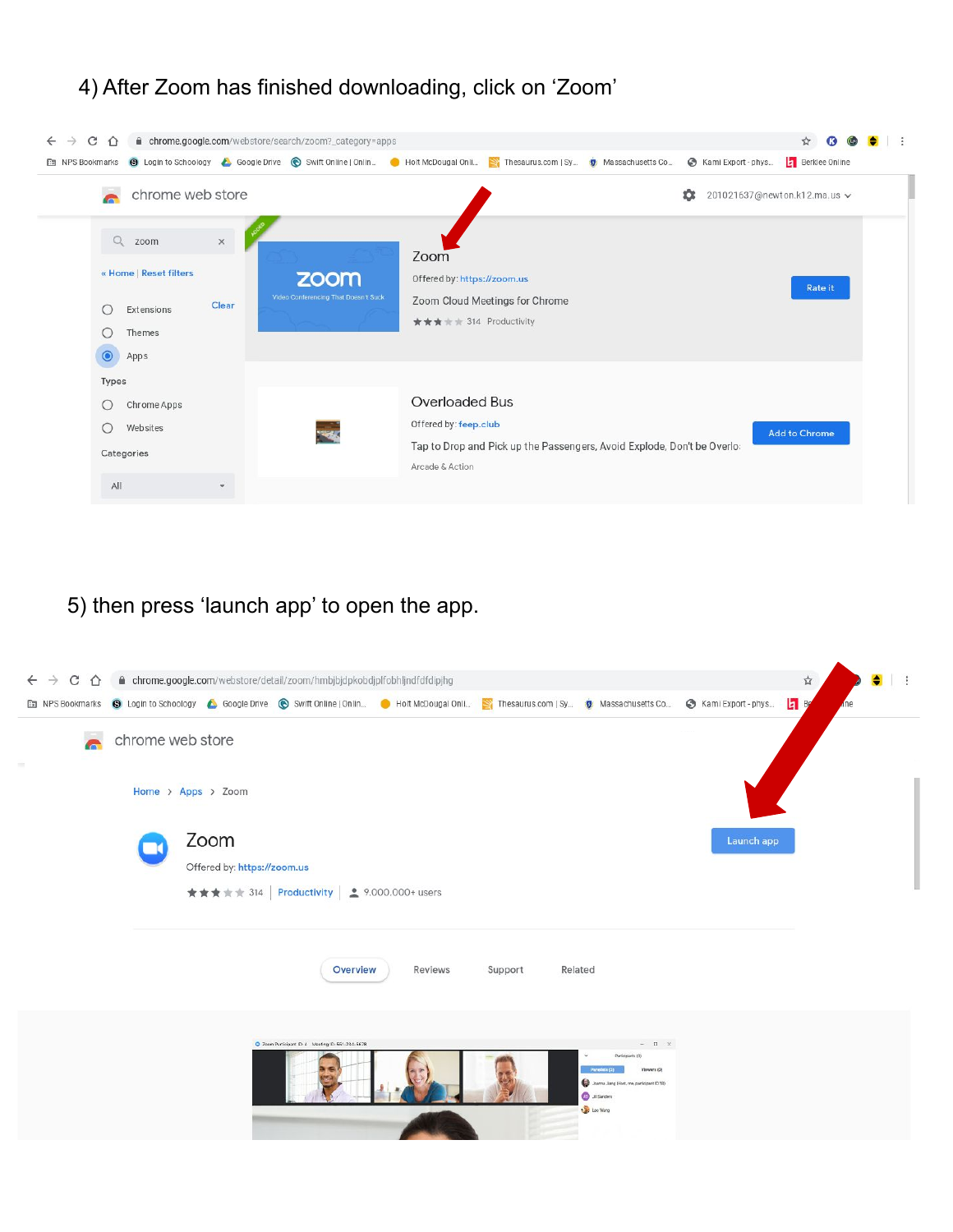#### 4) After Zoom has finished downloading, click on 'Zoom'

| C<br>$\triangle$<br>$\rightarrow$<br>$\leftarrow$                                               |                  |                   | ■ chrome.google.com/webstore/search/zoom?_category=apps                      |                                                                 |                                                                         |                    | $\mathbf{C}$<br>☆            |  |
|-------------------------------------------------------------------------------------------------|------------------|-------------------|------------------------------------------------------------------------------|-----------------------------------------------------------------|-------------------------------------------------------------------------|--------------------|------------------------------|--|
| NPS Bookmarks                                                                                   |                  |                   | Solution Schoology & Google Drive Swift Online   Onlin ● Holt McDougal Onlin |                                                                 | Thesaurus.com   Sy <b>D</b> Massachusetts Co                            | Kami Export - phys | Berklee Online               |  |
| <b>Co</b>                                                                                       | chrome web store |                   |                                                                              |                                                                 |                                                                         | ΰ                  | 201021637@newton.k12.ma.us ~ |  |
| $\alpha$<br>zoom<br>« Home   Reset filters<br>Extensions<br>O<br>Themes<br>O<br>$\odot$<br>Apps |                  | $\times$<br>Clear | zoom<br>Video Conferencing That Doesn't Suck                                 | Zoom<br>Offered by: https://zoom.us<br>★★★ ★ + 314 Productivity | Zoom Cloud Meetings for Chrome                                          |                    | <b>Rate it</b>               |  |
| Types<br>O<br>Websites<br>О<br>Categories                                                       | Chrome Apps      |                   |                                                                              | Overloaded Bus<br>Offered by: feep.club<br>Arcade & Action      | Tap to Drop and Pick up the Passengers, Avoid Explode, Don't be Overlo: |                    | <b>Add to Chrome</b>         |  |
| All                                                                                             |                  |                   |                                                                              |                                                                 |                                                                         |                    |                              |  |

## 5) then press 'launch app' to open the app.

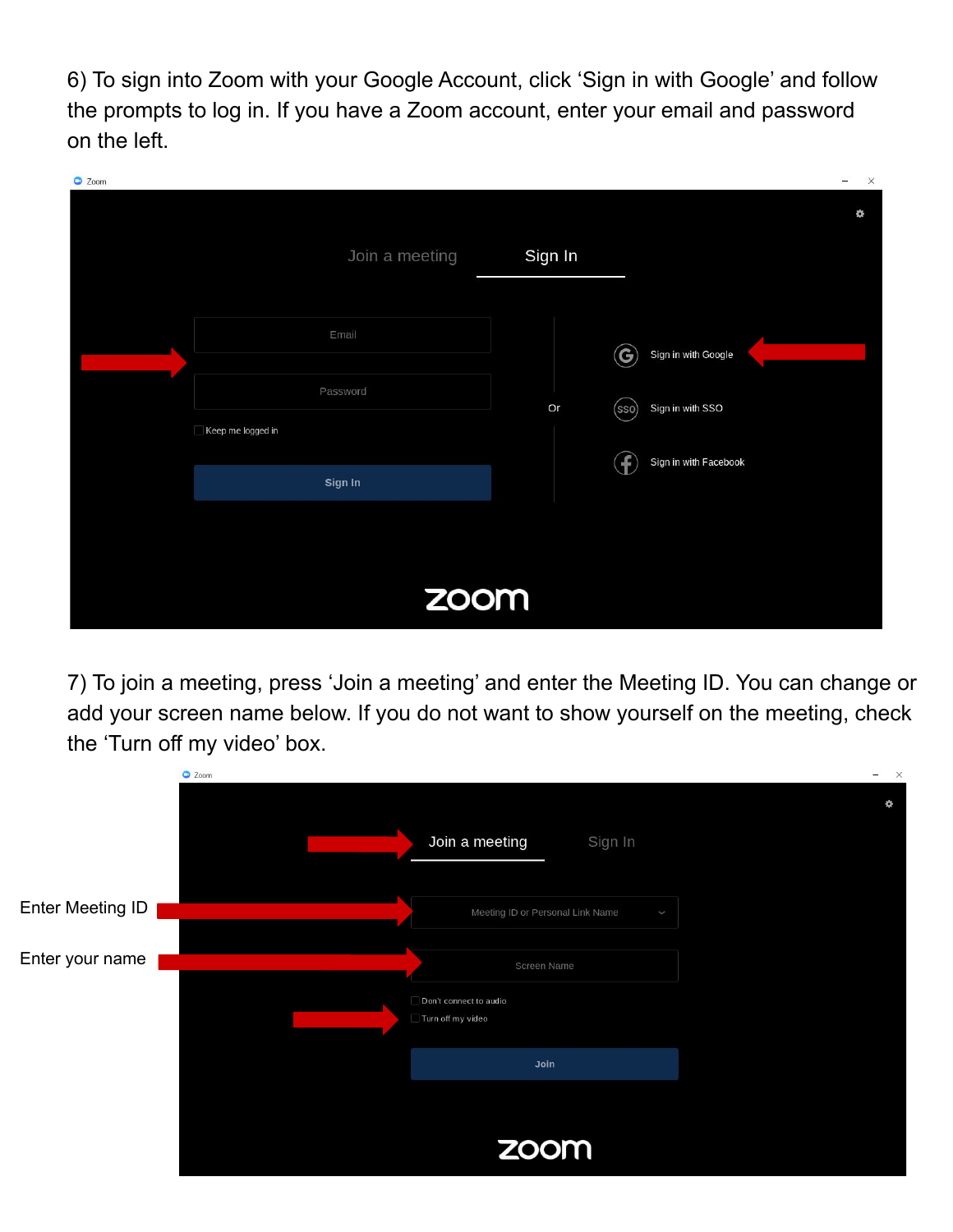6) To sign into Zoom with your Google Account, click 'Sign in with Google' and follow the prompts to log in. If you have a Zoom account, enter your email and password on the left.

| C Zoom |                   |         |       |                       | $\times$<br>$\qquad \qquad -$ |
|--------|-------------------|---------|-------|-----------------------|-------------------------------|
|        |                   |         |       |                       | ¢                             |
|        | Join a meeting    | Sign In |       |                       |                               |
|        |                   |         |       |                       |                               |
|        | Email             |         | G     | Sign in with Google   |                               |
|        |                   |         |       |                       |                               |
|        | Password          | Or      | (sso) | Sign in with SSO      |                               |
|        | Keep me logged in |         |       |                       |                               |
|        | Sign In           |         | Ŧ     | Sign in with Facebook |                               |
|        |                   |         |       |                       |                               |
|        |                   |         |       |                       |                               |
|        |                   |         |       |                       |                               |
|        | zoom              |         |       |                       |                               |
|        |                   |         |       |                       |                               |

7) To join a meeting, press 'Join a meeting' and enter the Meeting ID. You can change or add your screen name below. If you do not want to show yourself on the meeting, check the 'Turn off my video' box.

|                  | C Zoom                                                     | $\frac{1}{2}$<br>$\times$ |
|------------------|------------------------------------------------------------|---------------------------|
|                  | Join a meeting<br>Sign In                                  | Ö.                        |
| Enter Meeting ID | Meeting ID or Personal Link Name<br>$\checkmark$           |                           |
| Enter your name  | Screen Name<br>Don't connect to audio<br>Turn off my video |                           |
|                  | Join                                                       |                           |
|                  | zoom                                                       |                           |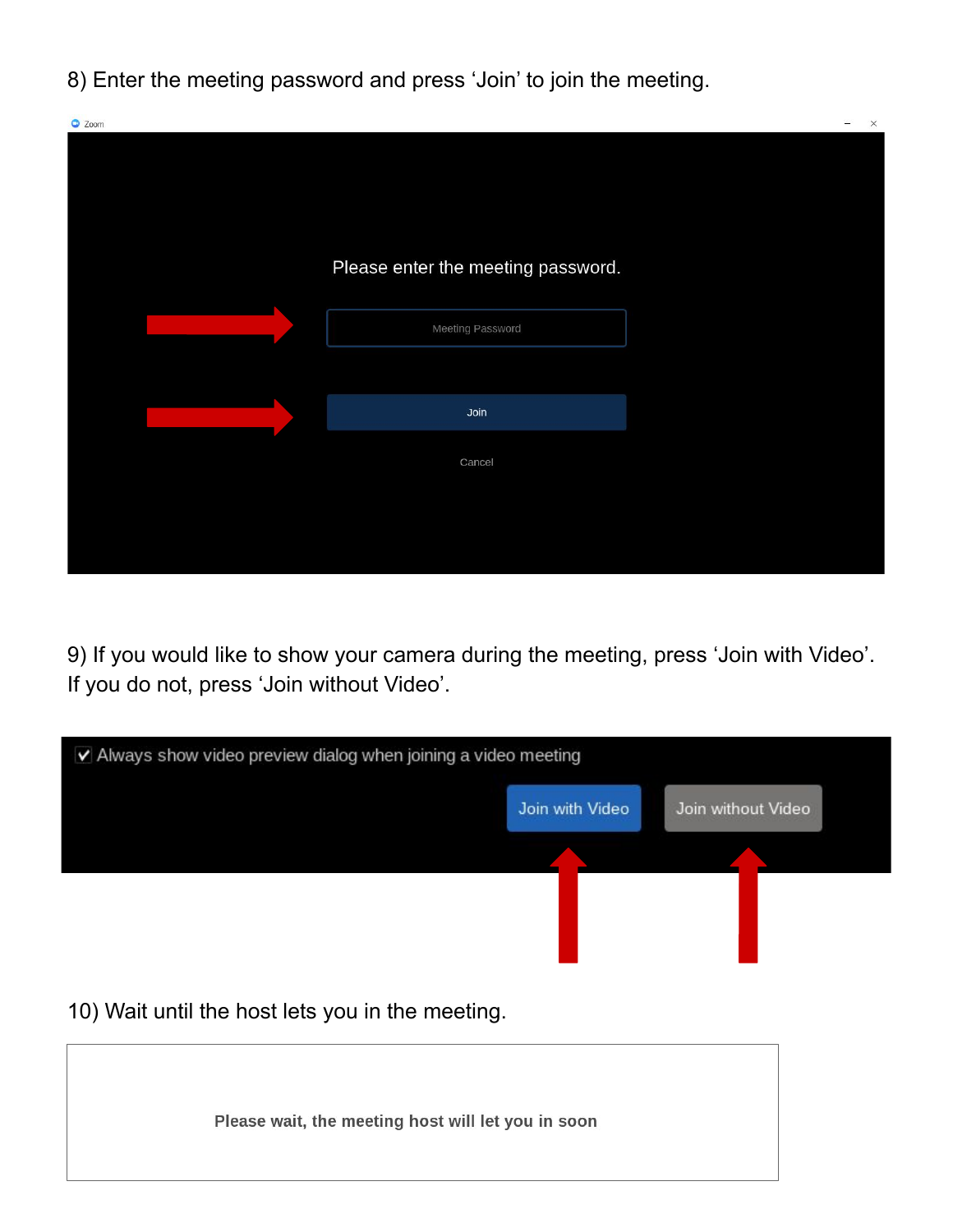8) Enter the meeting password and press 'Join' to join the meeting.



9) If you would like to show your camera during the meeting, press 'Join with Video'. If you do not, press 'Join without Video'.

| V Always show video preview dialog when joining a video meeting |                 |                    |  |  |  |  |
|-----------------------------------------------------------------|-----------------|--------------------|--|--|--|--|
|                                                                 | Join with Video | Join without Video |  |  |  |  |
|                                                                 |                 |                    |  |  |  |  |
| 10) Wait until the host lets you in the meeting.                |                 |                    |  |  |  |  |
| Please wait, the meeting host will let you in soon              |                 |                    |  |  |  |  |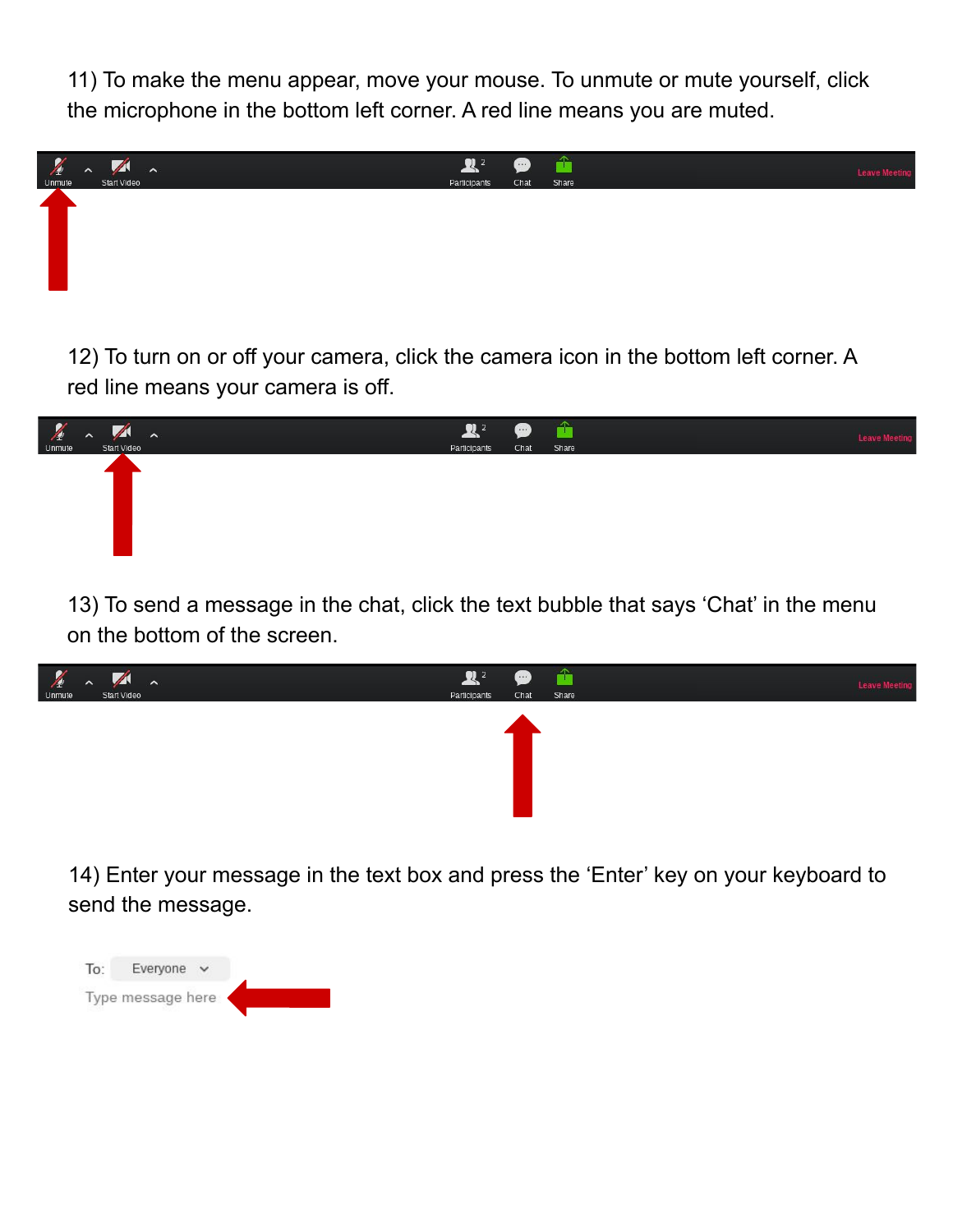11) To make the menu appear, move your mouse. To unmute or mute yourself, click the microphone in the bottom left corner. A red line means you are muted.



12) To turn on or off your camera, click the camera icon in the bottom left corner. A red line means your camera is off.



13) To send a message in the chat, click the text bubble that says 'Chat' in the menu on the bottom of the screen.



14) Enter your message in the text box and press the 'Enter' key on your keyboard to send the message.

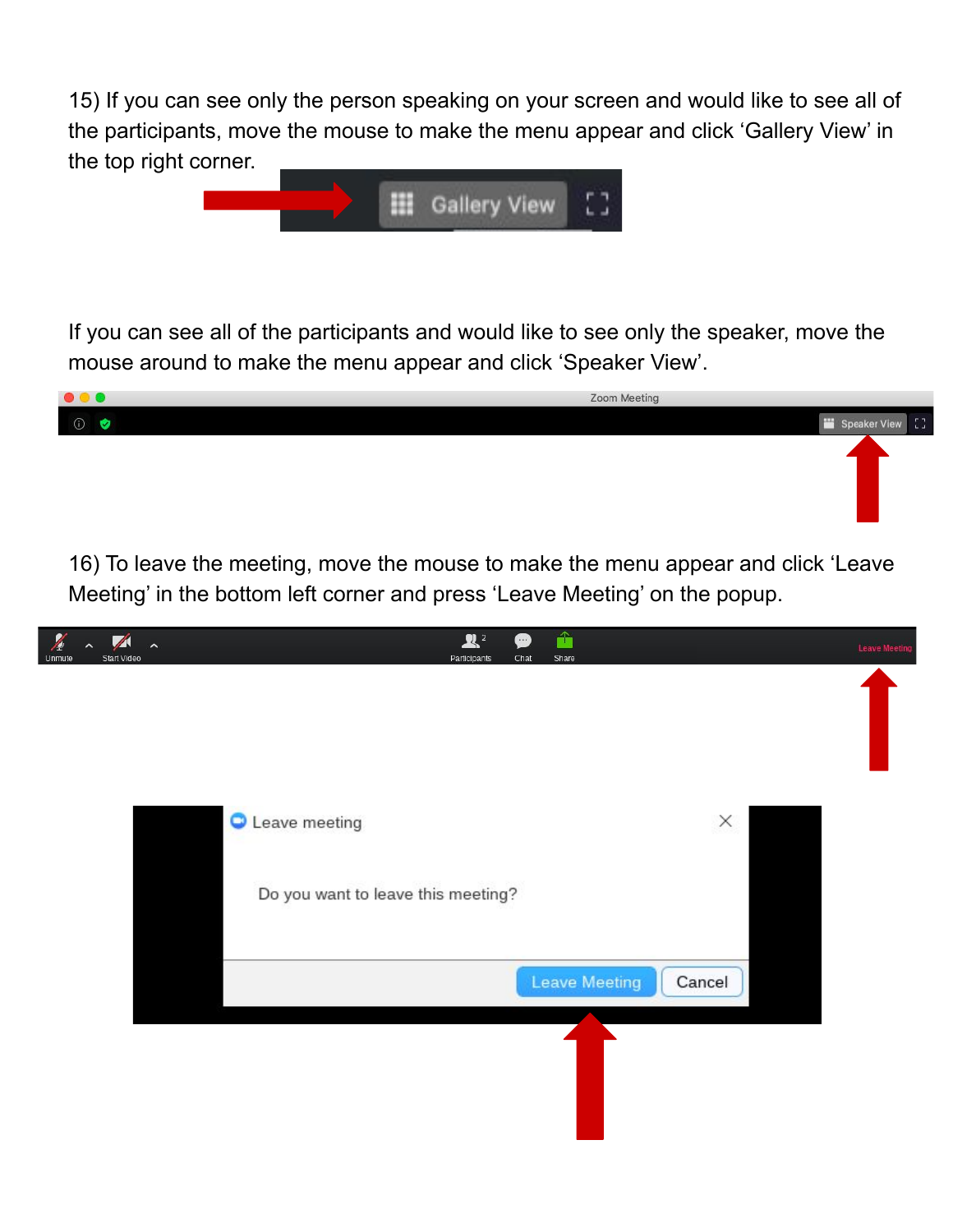15) If you can see only the person speaking on your screen and would like to see all of the participants, move the mouse to make the menu appear and click 'Gallery View' in the top right corner.



If you can see all of the participants and would like to see only the speaker, move the mouse around to make the menu appear and click 'Speaker View'.

| $\begin{array}{ccc} \bullet & \bullet & \bullet \end{array}$ | Zoom Meeting |                  |
|--------------------------------------------------------------|--------------|------------------|
| $\circ$                                                      |              | Speaker View [ ] |
|                                                              |              |                  |
|                                                              |              |                  |
|                                                              |              |                  |
|                                                              |              |                  |

16) To leave the meeting, move the mouse to make the menu appear and click 'Leave Meeting' in the bottom left corner and press 'Leave Meeting' on the popup.

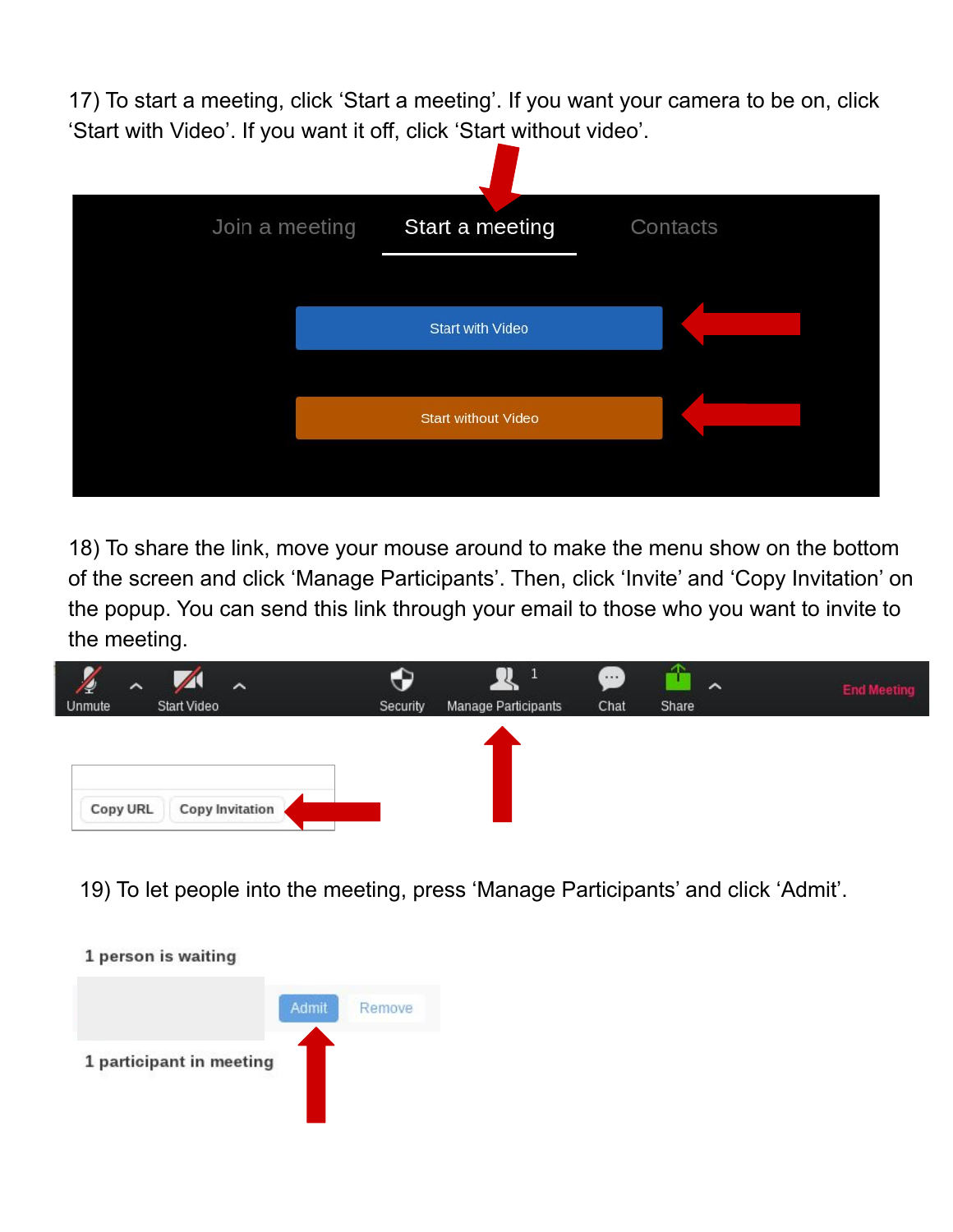17) To start a meeting, click 'Start a meeting'. If you want your camera to be on, click 'Start with Video'. If you want it off, click 'Start without video'.



18) To share the link, move your mouse around to make the menu show on the bottom of the screen and click 'Manage Participants'. Then, click 'Invite' and 'Copy Invitation' on the popup. You can send this link through your email to those who you want to invite to the meeting.

| $\widehat{\phantom{1}}$<br>4<br>Unmute | Start Video | $\lambda$              | Security | Manage Participants | - 1<br>Chat | $\lambda$<br>Share | <b>End Meeting</b> |
|----------------------------------------|-------------|------------------------|----------|---------------------|-------------|--------------------|--------------------|
|                                        |             |                        |          |                     |             |                    |                    |
| Copy URL                               |             | <b>Copy Invitation</b> |          |                     |             |                    |                    |

19) To let people into the meeting, press 'Manage Participants' and click 'Admit'.